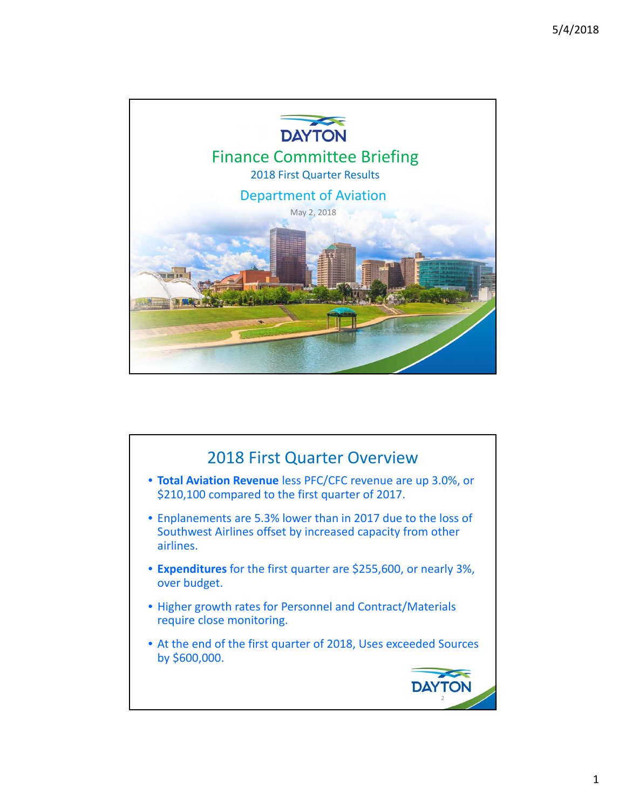

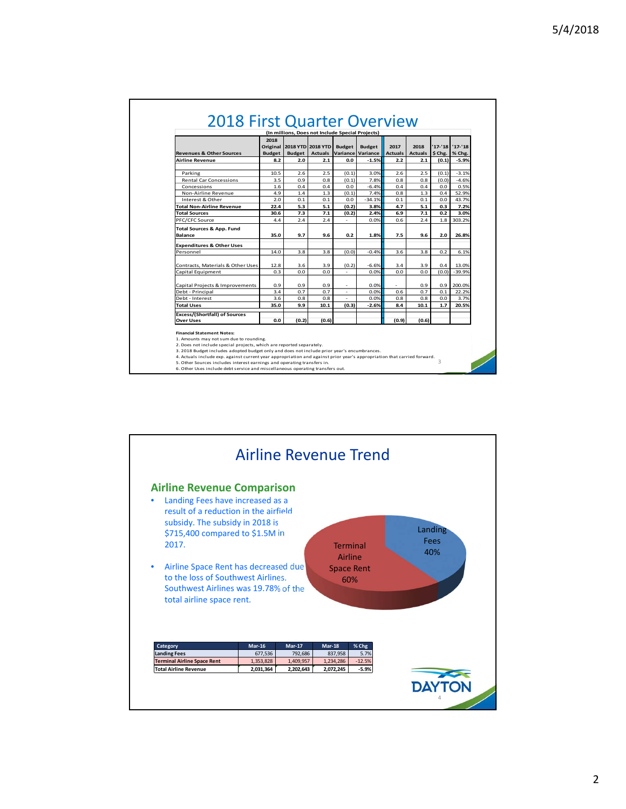|                                      | 2018          |                            | (In millions, Does not Include Special Projects) |                          |               |                |                |                 |          |
|--------------------------------------|---------------|----------------------------|--------------------------------------------------|--------------------------|---------------|----------------|----------------|-----------------|----------|
|                                      |               | Original 2018 YTD 2018 YTD |                                                  | <b>Budget</b>            | <b>Budget</b> | 2017           | 2018           | '17-'18 '17-'18 |          |
| <b>Revenues &amp; Other Sources</b>  | <b>Budget</b> | <b>Budget</b>              | <b>Actuals</b>                                   | Variance                 | Variance      | <b>Actuals</b> | <b>Actuals</b> | $$$ Chg.        | % Chg.   |
| <b>Airline Revenue</b>               | 8.2           | 2.0                        | 2.1                                              | 0.0                      | $-1.5%$       | 2.2            | 2.1            | (0.1)           | $-5.9%$  |
|                                      |               |                            |                                                  |                          |               |                |                |                 |          |
| Parking                              | 10.5          | 2.6                        | 2.5                                              | (0,1)                    | 3.0%          | 2.6            | 2.5            | (0.1)           | $-3.1%$  |
| <b>Rental Car Concessions</b>        | 3.5           | 0.9                        | 0.8                                              | (0,1)                    | 7.8%          | 0.8            | 0.8            | (0.0)           | $-4.6%$  |
| Concessions                          | 1.6           | 0.4                        | 0.4                                              | 0.0                      | $-6.4%$       | 0.4            | 0.4            | 0.0             | 0.5%     |
| Non-Airline Revenue                  | 4.9           | 1.4                        | 1.3                                              | (0.1)                    | 7.4%          | 0.8            | 1.3            | 0.4             | 52.9%    |
| Interest & Other                     | 2.0           | 0.1                        | 0.1                                              | 0.0                      | $-34.1%$      | 0.1            | 0.1            | 0.0             | 43.7%    |
| <b>Total Non-Airline Revenue</b>     | 22.4          | 5.3                        | 5.1                                              | (0.2)                    | 3.8%          | 4.7            | 5.1            | 0.3             | 7.2%     |
| <b>Total Sources</b>                 | 30.6          | 7.3                        | 7.1                                              | (0.2)                    | 2.4%          | 6.9            | 7.1            | 0.2             | 3.0%     |
| PFC/CFC Source                       | 4.4           | 2.4                        | 2.4                                              |                          | 0.0%          | 0.6            | 2.4            | 1.8             | 303.2%   |
| <b>Total Sources &amp; App. Fund</b> |               |                            |                                                  |                          |               |                |                |                 |          |
| <b>Balance</b>                       | 35.0          | 9.7                        | 9.6                                              | 0.2                      | 1.8%          | 7.5            | 9.6            | 2.0             | 26.8%    |
| <b>Expenditures &amp; Other Uses</b> |               |                            |                                                  |                          |               |                |                |                 |          |
| Personnel                            | 14.0          | 3.8                        | 3.8                                              | (0,0)                    | $-0.4%$       | 3.6            | 3.8            | 0.2             | 6.1%     |
|                                      |               |                            |                                                  |                          |               |                |                |                 |          |
| Contracts, Materials & Other Uses    | 12.8          | 3.6                        | 3.9                                              | (0, 2)                   | $-6.6%$       | 3.4            | 3.9            | 0.4             | 13.0%    |
| Capital Equipment                    | 0.3           | 0.0                        | 0.0                                              | $\bar{a}$                | 0.0%          | 0.0            | 0.0            | (0,0)           | $-39.9%$ |
| Capital Projects & Improvements      | 0.9           | 0.9                        | 0.9                                              | $\overline{\phantom{a}}$ | 0.0%          | $\sim$         | 0.9            | 0.9             | 200.0%   |
| Debt - Principal                     | 3.4           | 0.7                        | 0.7                                              |                          | 0.0%          | 0.6            | 0.7            | 0.1             | 22.2%    |
| Debt - Interest                      | 3.6           | 0.8                        | 0.8                                              |                          | 0.0%          | 0.8            | 0.8            | 0.0             | 3.7%     |
| <b>Total Uses</b>                    | 35.0          | 9.9                        | 10.1                                             | (0.3)                    | $-2.6%$       | 8.4            | 10.1           | 1.7             | 20.5%    |
|                                      |               |                            |                                                  |                          |               |                |                |                 |          |
| <b>Excess/(Shortfall) of Sources</b> |               |                            |                                                  |                          |               |                |                |                 |          |
| <b>Over Uses</b>                     | 0.0           | (0.2)                      | (0.6)                                            |                          |               | (0.9)          | (0.6)          |                 |          |



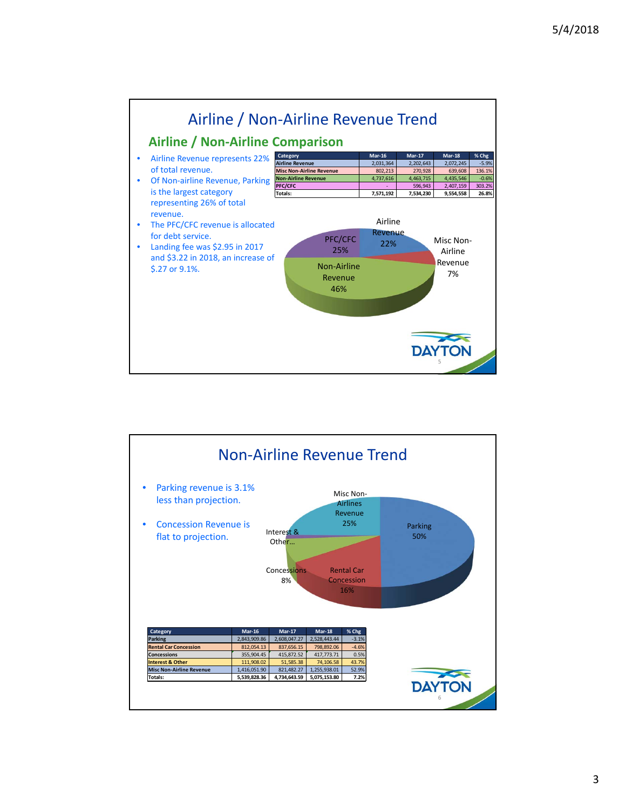

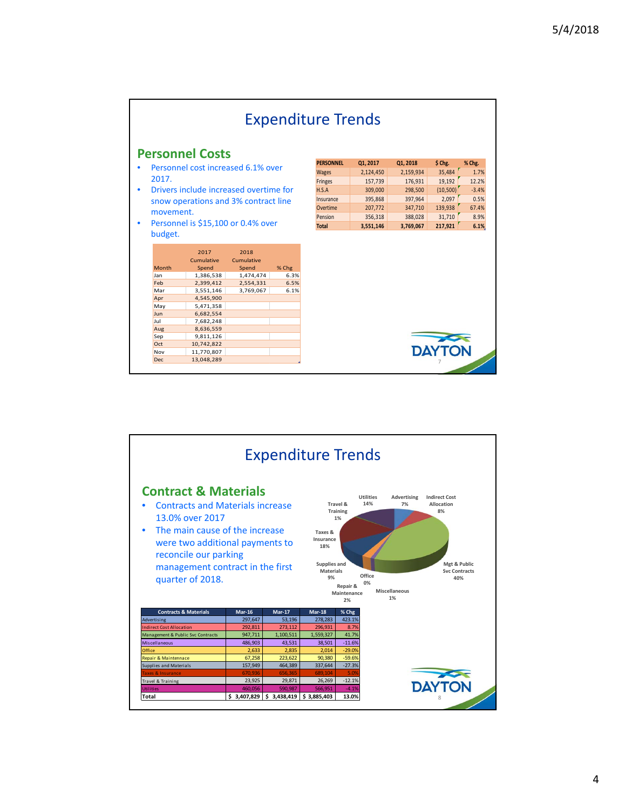|                                                 |                                        |                             |           |                  | <b>Expenditure Trends</b> |           |          |         |
|-------------------------------------------------|----------------------------------------|-----------------------------|-----------|------------------|---------------------------|-----------|----------|---------|
|                                                 | <b>Personnel Costs</b>                 |                             |           |                  |                           |           |          |         |
|                                                 | Personnel cost increased 6.1% over     |                             |           | <b>PERSONNEL</b> | 01, 2017                  | Q1, 2018  | \$ Chg.  | % Chg.  |
|                                                 |                                        |                             |           | <b>Wages</b>     | 2,124,450                 | 2,159,934 | 35,484   | 1.7%    |
| 2017.                                           |                                        |                             |           | Fringes          | 157,739                   | 176,931   | 19,192   | 12.2%   |
|                                                 | Drivers include increased overtime for |                             |           | H.S.A            | 309,000                   | 298,500   | (10,500) | $-3.4%$ |
| snow operations and 3% contract line            |                                        |                             | Insurance | 395,868          | 397,964                   | 2,097     | 0.5%     |         |
|                                                 |                                        |                             |           | Overtime         | 207,772                   | 347,710   | 139,938  | 67.4%   |
| movement.<br>Personnel is \$15,100 or 0.4% over |                                        |                             |           | Pension          | 356,318                   | 388,028   | 31,710   | 8.9%    |
|                                                 |                                        |                             |           | <b>Total</b>     | 3.551.146                 | 3.769.067 | 217,921  | 6.1%    |
|                                                 |                                        |                             |           |                  |                           |           |          |         |
| Month                                           | 2017<br>Cumulative<br>Spend            | 2018<br>Cumulative<br>Spend | % Chg     |                  |                           |           |          |         |
| Jan                                             | 1,386,538                              | 1,474,474                   | 6.3%      |                  |                           |           |          |         |
| Feb                                             | 2,399,412                              | 2,554,331                   | 6.5%      |                  |                           |           |          |         |
| Mar                                             | 3,551,146                              | 3,769,067                   | 6.1%      |                  |                           |           |          |         |
| Apr                                             | 4,545,900                              |                             |           |                  |                           |           |          |         |
| May                                             | 5,471,358                              |                             |           |                  |                           |           |          |         |
| Jun<br>Jul                                      | 6,682,554<br>7,682,248                 |                             |           |                  |                           |           |          |         |
| Aug                                             | 8,636,559                              |                             |           |                  |                           |           |          |         |
| Sep                                             | 9,811,126                              |                             |           |                  |                           |           |          |         |
| Oct                                             | 10,742,822                             |                             |           |                  |                           |           |          |         |
| Nov<br>Dec                                      | 11,770,807<br>13,048,289               |                             |           |                  |                           |           | DAYTON   |         |

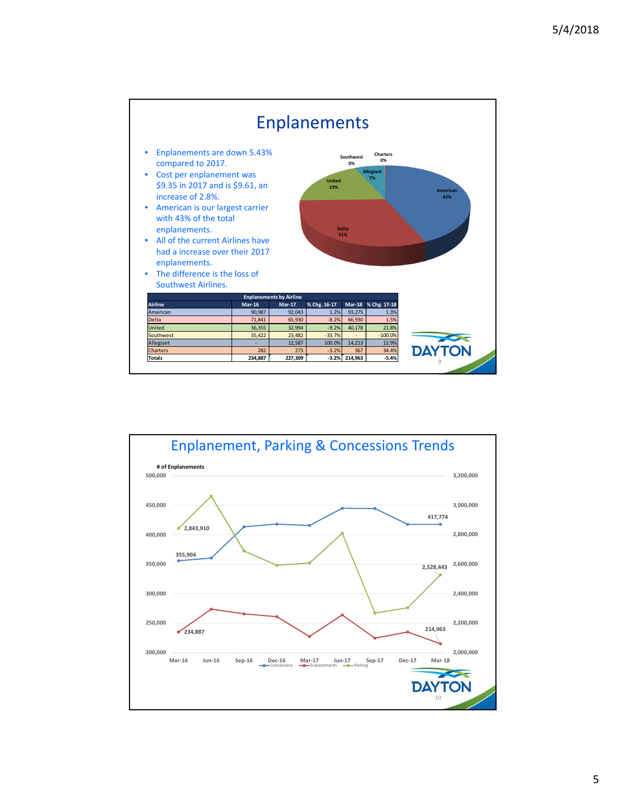

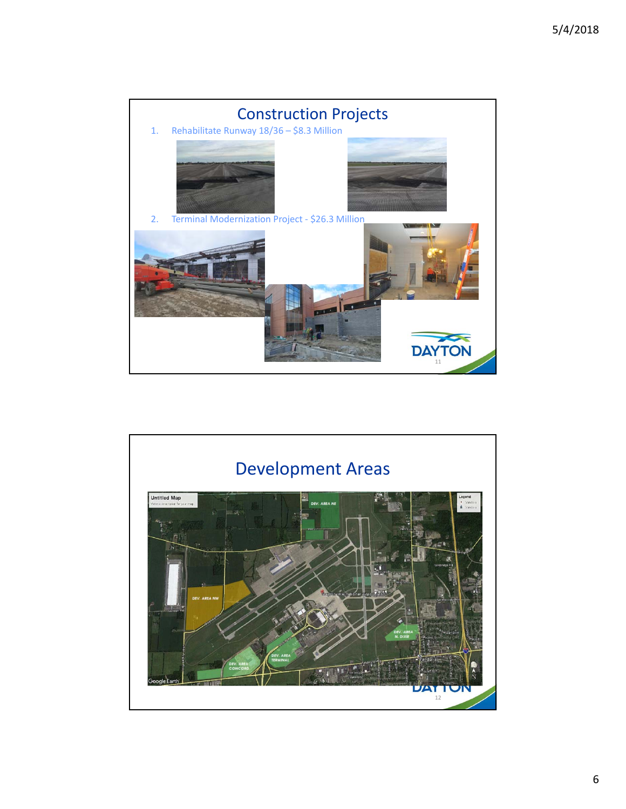